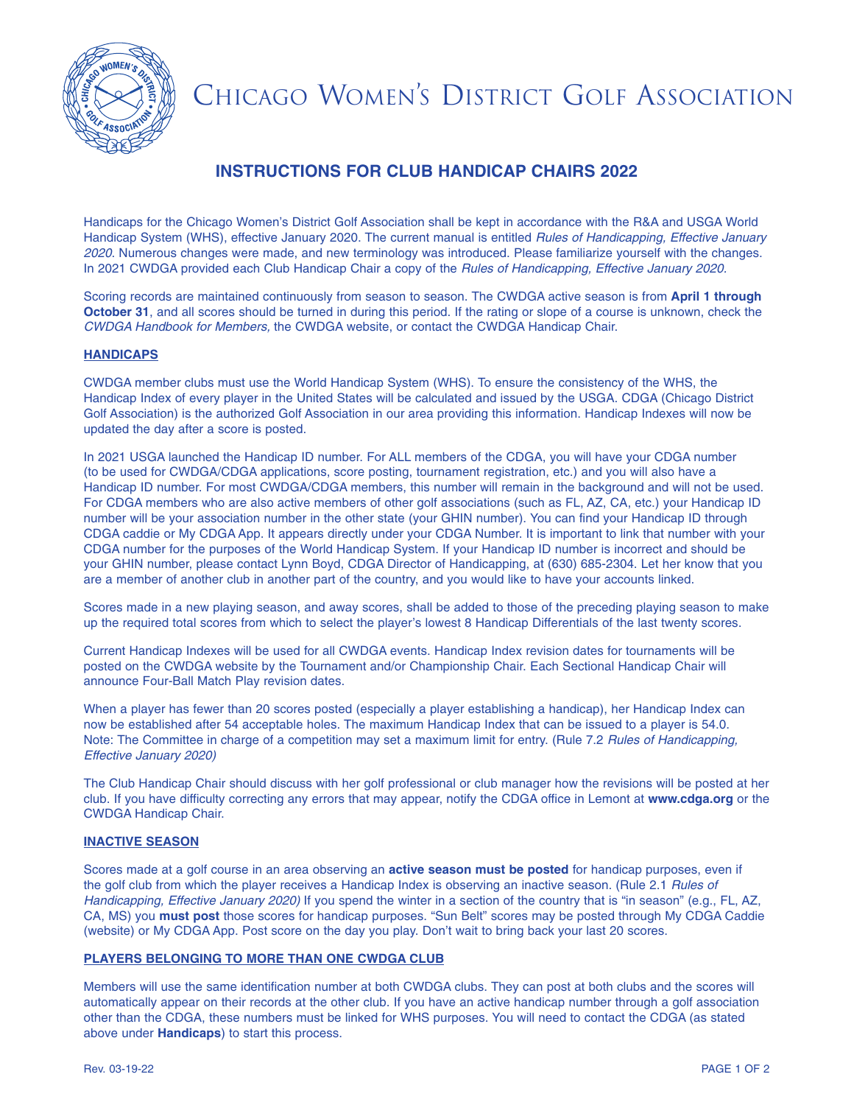

# CHICAGO WOMEN'S DISTRICT GOLF ASSOCIATION

## **INSTRUCTIONS FOR CLUB HANDICAP CHAIRS 2022**

Handicaps for the Chicago Women's District Golf Association shall be kept in accordance with the R&A and USGA World Handicap System (WHS), effective January 2020. The current manual is entitled Rules of Handicapping, Effective January 2020. Numerous changes were made, and new terminology was introduced. Please familiarize yourself with the changes. In 2021 CWDGA provided each Club Handicap Chair a copy of the Rules of Handicapping, Effective January 2020.

Scoring records are maintained continuously from season to season. The CWDGA active season is from **April 1 through October 31**, and all scores should be turned in during this period. If the rating or slope of a course is unknown, check the CWDGA Handbook for Members, the CWDGA website, or contact the CWDGA Handicap Chair.

### **HANDICAPS**

CWDGA member clubs must use the World Handicap System (WHS). To ensure the consistency of the WHS, the Handicap Index of every player in the United States will be calculated and issued by the USGA. CDGA (Chicago District Golf Association) is the authorized Golf Association in our area providing this information. Handicap Indexes will now be updated the day after a score is posted.

In 2021 USGA launched the Handicap ID number. For ALL members of the CDGA, you will have your CDGA number (to be used for CWDGA/CDGA applications, score posting, tournament registration, etc.) and you will also have a Handicap ID number. For most CWDGA/CDGA members, this number will remain in the background and will not be used. For CDGA members who are also active members of other golf associations (such as FL, AZ, CA, etc.) your Handicap ID number will be your association number in the other state (your GHIN number). You can find your Handicap ID through CDGA caddie or My CDGA App. It appears directly under your CDGA Number. It is important to link that number with your CDGA number for the purposes of the World Handicap System. If your Handicap ID number is incorrect and should be your GHIN number, please contact Lynn Boyd, CDGA Director of Handicapping, at (630) 685-2304. Let her know that you are a member of another club in another part of the country, and you would like to have your accounts linked.

Scores made in a new playing season, and away scores, shall be added to those of the preceding playing season to make up the required total scores from which to select the player's lowest 8 Handicap Differentials of the last twenty scores.

Current Handicap Indexes will be used for all CWDGA events. Handicap Index revision dates for tournaments will be posted on the CWDGA website by the Tournament and/or Championship Chair. Each Sectional Handicap Chair will announce Four-Ball Match Play revision dates.

When a player has fewer than 20 scores posted (especially a player establishing a handicap), her Handicap Index can now be established after 54 acceptable holes. The maximum Handicap Index that can be issued to a player is 54.0. Note: The Committee in charge of a competition may set a maximum limit for entry. (Rule 7.2 Rules of Handicapping, Effective January 2020)

The Club Handicap Chair should discuss with her golf professional or club manager how the revisions will be posted at her club. If you have difficulty correcting any errors that may appear, notify the CDGA office in Lemont at **www.cdga.org** or the CWDGA Handicap Chair.

#### **INACTIVE SEASON**

Scores made at a golf course in an area observing an **active season must be posted** for handicap purposes, even if the golf club from which the player receives a Handicap Index is observing an inactive season. (Rule 2.1 Rules of Handicapping, Effective January 2020) If you spend the winter in a section of the country that is "in season" (e.g., FL, AZ, CA, MS) you **must post** those scores for handicap purposes. "Sun Belt" scores may be posted through My CDGA Caddie (website) or My CDGA App. Post score on the day you play. Don't wait to bring back your last 20 scores.

### **PLAYERS BELONGING TO MORE THAN ONE CWDGA CLUB**

Members will use the same identification number at both CWDGA clubs. They can post at both clubs and the scores will automatically appear on their records at the other club. If you have an active handicap number through a golf association other than the CDGA, these numbers must be linked for WHS purposes. You will need to contact the CDGA (as stated above under **Handicaps**) to start this process.